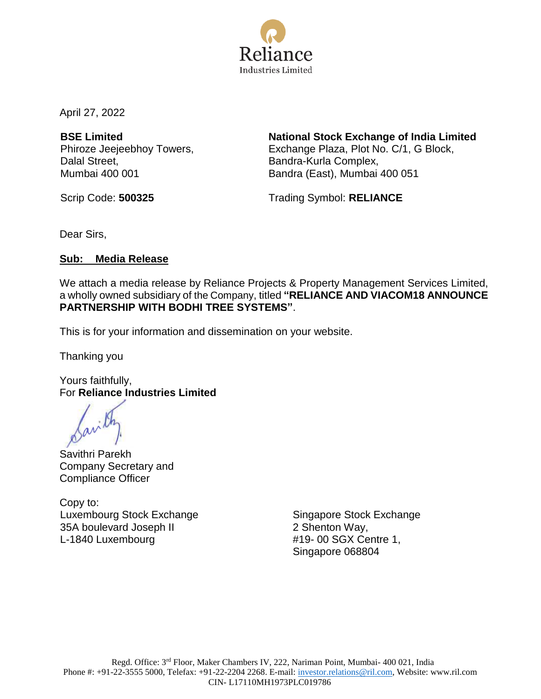

April 27, 2022

**BSE Limited** Phiroze Jeejeebhoy Towers, Dalal Street, Mumbai 400 001

**National Stock Exchange of India Limited** Exchange Plaza, Plot No. C/1, G Block, Bandra-Kurla Complex, Bandra (East), Mumbai 400 051

Scrip Code: **500325** Trading Symbol: **RELIANCE** 

Dear Sirs,

## **Sub: Media Release**

We attach a media release by Reliance Projects & Property Management Services Limited, a wholly owned subsidiary of the Company, titled **"RELIANCE AND VIACOM18 ANNOUNCE PARTNERSHIP WITH BODHI TREE SYSTEMS"**.

This is for your information and dissemination on your website.

Thanking you

Yours faithfully, For **Reliance Industries Limited**

Savithri Parekh Company Secretary and Compliance Officer

Copy to: Luxembourg Stock Exchange 35A boulevard Joseph II L-1840 Luxembourg

Singapore Stock Exchange 2 Shenton Way, #19- 00 SGX Centre 1, Singapore 068804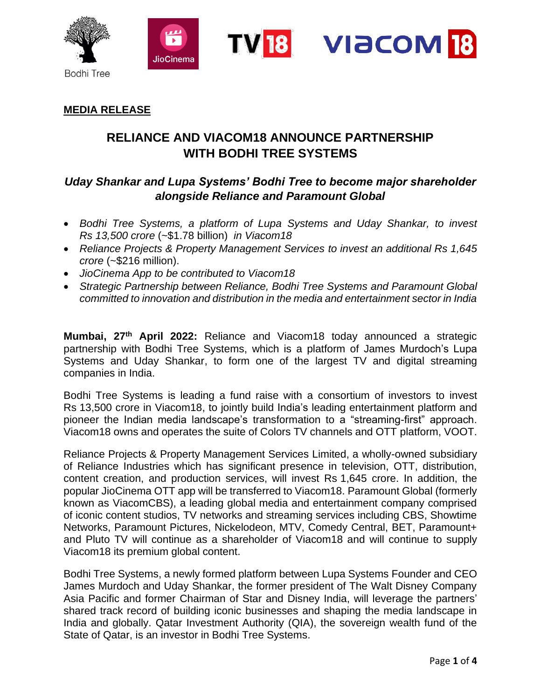

## **MEDIA RELEASE**

# **RELIANCE AND VIACOM18 ANNOUNCE PARTNERSHIP WITH BODHI TREE SYSTEMS**

## *Uday Shankar and Lupa Systems' Bodhi Tree to become major shareholder alongside Reliance and Paramount Global*

- *Bodhi Tree Systems, a platform of Lupa Systems and Uday Shankar, to invest Rs 13,500 crore* (~\$1.78 billion) *in Viacom18*
- *Reliance Projects & Property Management Services to invest an additional Rs 1,645 crore* (~\$216 million).
- *JioCinema App to be contributed to Viacom18*
- *Strategic Partnership between Reliance, Bodhi Tree Systems and Paramount Global committed to innovation and distribution in the media and entertainment sector in India*

**Mumbai, 27th April 2022:** Reliance and Viacom18 today announced a strategic partnership with Bodhi Tree Systems, which is a platform of James Murdoch's Lupa Systems and Uday Shankar, to form one of the largest TV and digital streaming companies in India.

Bodhi Tree Systems is leading a fund raise with a consortium of investors to invest Rs 13,500 crore in Viacom18, to jointly build India's leading entertainment platform and pioneer the Indian media landscape's transformation to a "streaming-first" approach. Viacom18 owns and operates the suite of Colors TV channels and OTT platform, VOOT.

Reliance Projects & Property Management Services Limited, a wholly-owned subsidiary of Reliance Industries which has significant presence in television, OTT, distribution, content creation, and production services, will invest Rs 1,645 crore. In addition, the popular JioCinema OTT app will be transferred to Viacom18. Paramount Global (formerly known as ViacomCBS), a leading global media and entertainment company comprised of iconic content studios, TV networks and streaming services including CBS, Showtime Networks, Paramount Pictures, Nickelodeon, MTV, Comedy Central, BET, Paramount+ and Pluto TV will continue as a shareholder of Viacom18 and will continue to supply Viacom18 its premium global content.

Bodhi Tree Systems, a newly formed platform between Lupa Systems Founder and CEO James Murdoch and Uday Shankar, the former president of The Walt Disney Company Asia Pacific and former Chairman of Star and Disney India, will leverage the partners' shared track record of building iconic businesses and shaping the media landscape in India and globally. Qatar Investment Authority (QIA), the sovereign wealth fund of the State of Qatar, is an investor in Bodhi Tree Systems.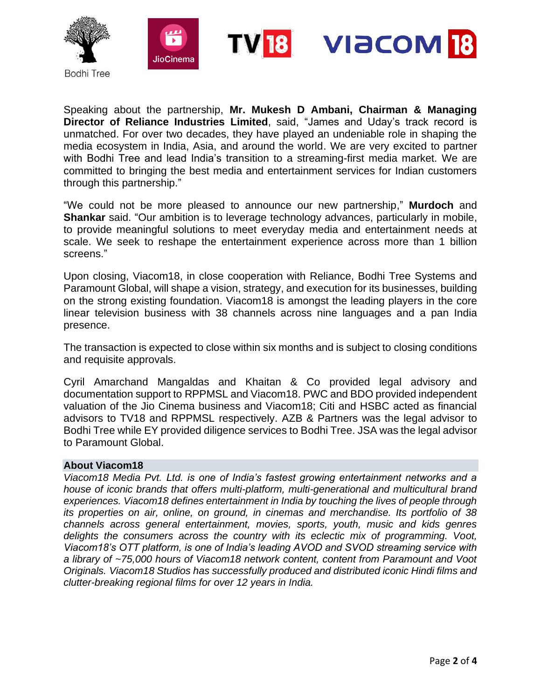

Speaking about the partnership, **Mr. Mukesh D Ambani, Chairman & Managing Director of Reliance Industries Limited**, said, "James and Uday's track record is unmatched. For over two decades, they have played an undeniable role in shaping the media ecosystem in India, Asia, and around the world. We are very excited to partner with Bodhi Tree and lead India's transition to a streaming-first media market. We are committed to bringing the best media and entertainment services for Indian customers through this partnership."

"We could not be more pleased to announce our new partnership," **Murdoch** and **Shankar** said. "Our ambition is to leverage technology advances, particularly in mobile, to provide meaningful solutions to meet everyday media and entertainment needs at scale. We seek to reshape the entertainment experience across more than 1 billion screens."

Upon closing, Viacom18, in close cooperation with Reliance, Bodhi Tree Systems and Paramount Global, will shape a vision, strategy, and execution for its businesses, building on the strong existing foundation. Viacom18 is amongst the leading players in the core linear television business with 38 channels across nine languages and a pan India presence.

The transaction is expected to close within six months and is subject to closing conditions and requisite approvals.

Cyril Amarchand Mangaldas and Khaitan & Co provided legal advisory and documentation support to RPPMSL and Viacom18. PWC and BDO provided independent valuation of the Jio Cinema business and Viacom18; Citi and HSBC acted as financial advisors to TV18 and RPPMSL respectively. AZB & Partners was the legal advisor to Bodhi Tree while EY provided diligence services to Bodhi Tree. JSA was the legal advisor to Paramount Global.

#### **About Viacom18**

*Viacom18 Media Pvt. Ltd. is one of India's fastest growing entertainment networks and a house of iconic brands that offers multi-platform, multi-generational and multicultural brand experiences. Viacom18 defines entertainment in India by touching the lives of people through its properties on air, online, on ground, in cinemas and merchandise. Its portfolio of 38 channels across general entertainment, movies, sports, youth, music and kids genres delights the consumers across the country with its eclectic mix of programming. Voot, Viacom18's OTT platform, is one of India's leading AVOD and SVOD streaming service with a library of ~75,000 hours of Viacom18 network content, content from Paramount and Voot Originals. Viacom18 Studios has successfully produced and distributed iconic Hindi films and clutter-breaking regional films for over 12 years in India.*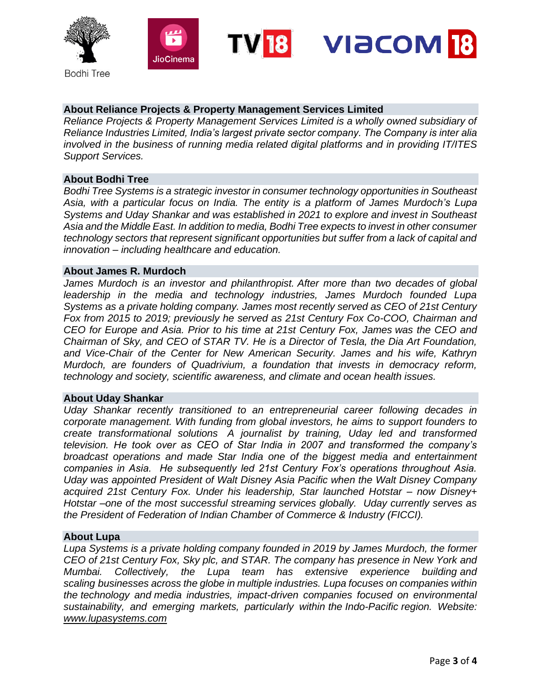

#### **About Reliance Projects & Property Management Services Limited**

*Reliance Projects & Property Management Services Limited is a wholly owned subsidiary of Reliance Industries Limited, India's largest private sector company. The Company is inter alia involved in the business of running media related digital platforms and in providing IT/ITES Support Services.* 

#### **About Bodhi Tree**

*Bodhi Tree Systems is a strategic investor in consumer technology opportunities in Southeast Asia, with a particular focus on India. The entity is a platform of James Murdoch's Lupa Systems and Uday Shankar and was established in 2021 to explore and invest in Southeast Asia and the Middle East. In addition to media, Bodhi Tree expects to invest in other consumer technology sectors that represent significant opportunities but suffer from a lack of capital and innovation – including healthcare and education.* 

#### **About James R. Murdoch**

*James Murdoch is an investor and philanthropist. After more than two decades of global leadership in the media and technology industries, James Murdoch founded Lupa Systems as a private holding company. James most recently served as CEO of 21st Century Fox from 2015 to 2019; previously he served as 21st Century Fox Co-COO, Chairman and CEO for Europe and Asia. Prior to his time at 21st Century Fox, James was the CEO and Chairman of Sky, and CEO of STAR TV. He is a Director of Tesla, the Dia Art Foundation, and Vice-Chair of the Center for New American Security. James and his wife, Kathryn Murdoch, are founders of Quadrivium, a foundation that invests in democracy reform, technology and society, scientific awareness, and climate and ocean health issues.* 

#### **About Uday Shankar**

*Uday Shankar recently transitioned to an entrepreneurial career following decades in corporate management. With funding from global investors, he aims to support founders to create transformational solutions A journalist by training, Uday led and transformed television. He took over as CEO of Star India in 2007 and transformed the company's broadcast operations and made Star India one of the biggest media and entertainment companies in Asia. He subsequently led 21st Century Fox's operations throughout Asia. Uday was appointed President of Walt Disney Asia Pacific when the Walt Disney Company acquired 21st Century Fox. Under his leadership, Star launched Hotstar – now Disney+ Hotstar –one of the most successful streaming services globally. Uday currently serves as the President of Federation of Indian Chamber of Commerce & Industry (FICCI).* 

#### **About Lupa**

*Lupa Systems is a private holding company founded in 2019 by James Murdoch, the former CEO of 21st Century Fox, Sky plc, and STAR. The company has presence in New York and Mumbai. Collectively, the Lupa team has extensive experience building and scaling businesses across the globe in multiple industries. Lupa focuses on companies within the technology and media industries, impact-driven companies focused on environmental sustainability, and emerging markets, particularly within the Indo-Pacific region. Website: [www.lupasystems.com](http://www.lupasystems.com/)*